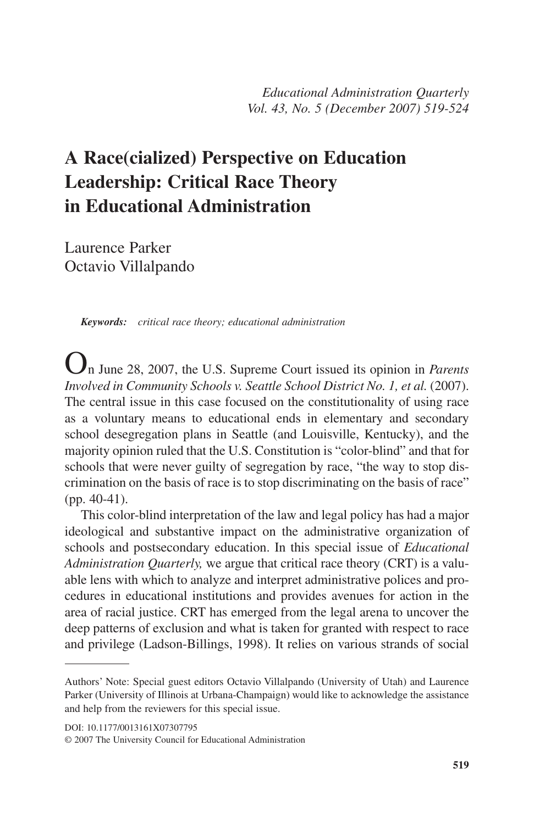## **A Race(cialized) Perspective on Education Leadership: Critical Race Theory in Educational Administration**

Laurence Parker Octavio Villalpando

*Keywords: critical race theory; educational administration*

On June 28, 2007, the U.S. Supreme Court issued its opinion in *Parents Involved in Community Schools v. Seattle School District No. 1, et al.* (2007). The central issue in this case focused on the constitutionality of using race as a voluntary means to educational ends in elementary and secondary school desegregation plans in Seattle (and Louisville, Kentucky), and the majority opinion ruled that the U.S. Constitution is "color-blind" and that for schools that were never guilty of segregation by race, "the way to stop discrimination on the basis of race is to stop discriminating on the basis of race" (pp. 40-41).

This color-blind interpretation of the law and legal policy has had a major ideological and substantive impact on the administrative organization of schools and postsecondary education. In this special issue of *Educational Administration Quarterly,* we argue that critical race theory (CRT) is a valuable lens with which to analyze and interpret administrative polices and procedures in educational institutions and provides avenues for action in the area of racial justice. CRT has emerged from the legal arena to uncover the deep patterns of exclusion and what is taken for granted with respect to race and privilege (Ladson-Billings, 1998). It relies on various strands of social

DOI: 10.1177/0013161X07307795

© 2007 The University Council for Educational Administration

Authors' Note: Special guest editors Octavio Villalpando (University of Utah) and Laurence Parker (University of Illinois at Urbana-Champaign) would like to acknowledge the assistance and help from the reviewers for this special issue.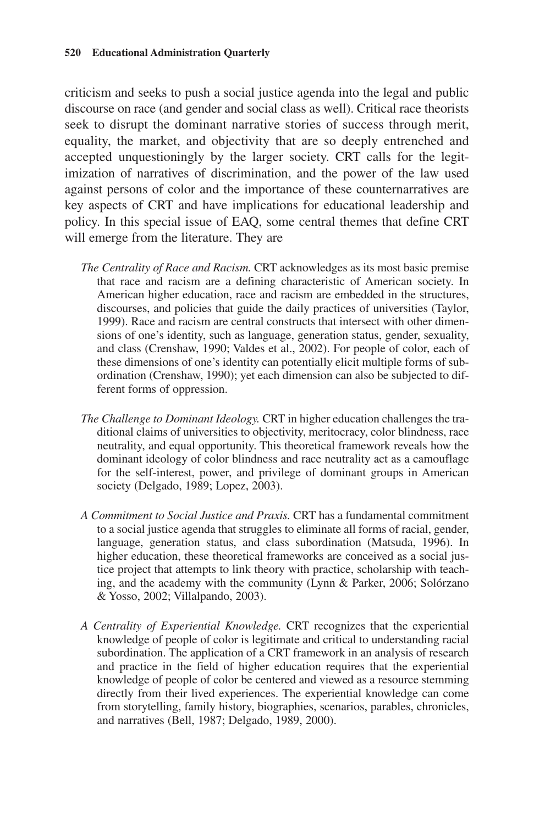criticism and seeks to push a social justice agenda into the legal and public discourse on race (and gender and social class as well). Critical race theorists seek to disrupt the dominant narrative stories of success through merit, equality, the market, and objectivity that are so deeply entrenched and accepted unquestioningly by the larger society. CRT calls for the legitimization of narratives of discrimination, and the power of the law used against persons of color and the importance of these counternarratives are key aspects of CRT and have implications for educational leadership and policy. In this special issue of EAQ, some central themes that define CRT will emerge from the literature. They are

- *The Centrality of Race and Racism.* CRT acknowledges as its most basic premise that race and racism are a defining characteristic of American society. In American higher education, race and racism are embedded in the structures, discourses, and policies that guide the daily practices of universities (Taylor, 1999). Race and racism are central constructs that intersect with other dimensions of one's identity, such as language, generation status, gender, sexuality, and class (Crenshaw, 1990; Valdes et al., 2002). For people of color, each of these dimensions of one's identity can potentially elicit multiple forms of subordination (Crenshaw, 1990); yet each dimension can also be subjected to different forms of oppression.
- *The Challenge to Dominant Ideology.* CRT in higher education challenges the traditional claims of universities to objectivity, meritocracy, color blindness, race neutrality, and equal opportunity. This theoretical framework reveals how the dominant ideology of color blindness and race neutrality act as a camouflage for the self-interest, power, and privilege of dominant groups in American society (Delgado, 1989; Lopez, 2003).
- *A Commitment to Social Justice and Praxis.* CRT has a fundamental commitment to a social justice agenda that struggles to eliminate all forms of racial, gender, language, generation status, and class subordination (Matsuda, 1996). In higher education, these theoretical frameworks are conceived as a social justice project that attempts to link theory with practice, scholarship with teaching, and the academy with the community (Lynn & Parker, 2006; Solórzano & Yosso, 2002; Villalpando, 2003).
- *A Centrality of Experiential Knowledge.* CRT recognizes that the experiential knowledge of people of color is legitimate and critical to understanding racial subordination. The application of a CRT framework in an analysis of research and practice in the field of higher education requires that the experiential knowledge of people of color be centered and viewed as a resource stemming directly from their lived experiences. The experiential knowledge can come from storytelling, family history, biographies, scenarios, parables, chronicles, and narratives (Bell, 1987; Delgado, 1989, 2000).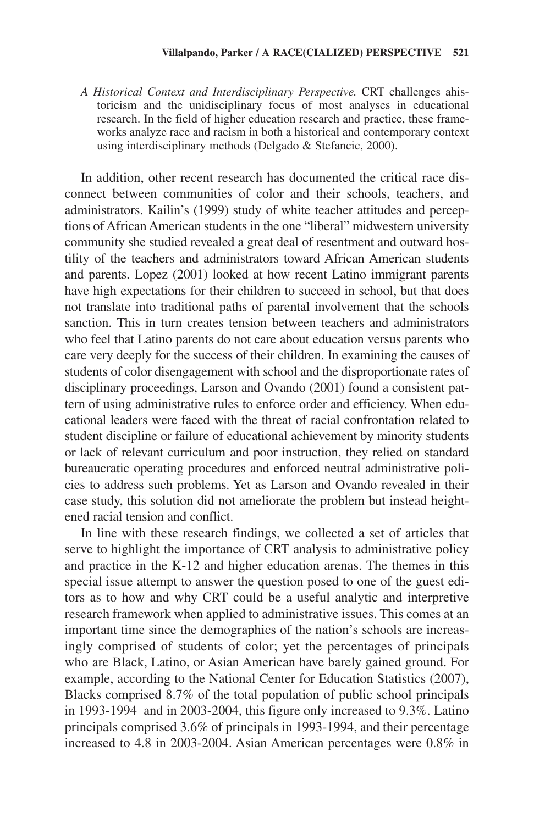*A Historical Context and Interdisciplinary Perspective.* CRT challenges ahistoricism and the unidisciplinary focus of most analyses in educational research. In the field of higher education research and practice, these frameworks analyze race and racism in both a historical and contemporary context using interdisciplinary methods (Delgado & Stefancic, 2000).

In addition, other recent research has documented the critical race disconnect between communities of color and their schools, teachers, and administrators. Kailin's (1999) study of white teacher attitudes and perceptions of African American students in the one "liberal" midwestern university community she studied revealed a great deal of resentment and outward hostility of the teachers and administrators toward African American students and parents. Lopez (2001) looked at how recent Latino immigrant parents have high expectations for their children to succeed in school, but that does not translate into traditional paths of parental involvement that the schools sanction. This in turn creates tension between teachers and administrators who feel that Latino parents do not care about education versus parents who care very deeply for the success of their children. In examining the causes of students of color disengagement with school and the disproportionate rates of disciplinary proceedings, Larson and Ovando (2001) found a consistent pattern of using administrative rules to enforce order and efficiency. When educational leaders were faced with the threat of racial confrontation related to student discipline or failure of educational achievement by minority students or lack of relevant curriculum and poor instruction, they relied on standard bureaucratic operating procedures and enforced neutral administrative policies to address such problems. Yet as Larson and Ovando revealed in their case study, this solution did not ameliorate the problem but instead heightened racial tension and conflict.

In line with these research findings, we collected a set of articles that serve to highlight the importance of CRT analysis to administrative policy and practice in the K-12 and higher education arenas. The themes in this special issue attempt to answer the question posed to one of the guest editors as to how and why CRT could be a useful analytic and interpretive research framework when applied to administrative issues. This comes at an important time since the demographics of the nation's schools are increasingly comprised of students of color; yet the percentages of principals who are Black, Latino, or Asian American have barely gained ground. For example, according to the National Center for Education Statistics (2007), Blacks comprised 8.7% of the total population of public school principals in 1993-1994 and in 2003-2004, this figure only increased to 9.3%. Latino principals comprised 3.6% of principals in 1993-1994, and their percentage increased to 4.8 in 2003-2004. Asian American percentages were 0.8% in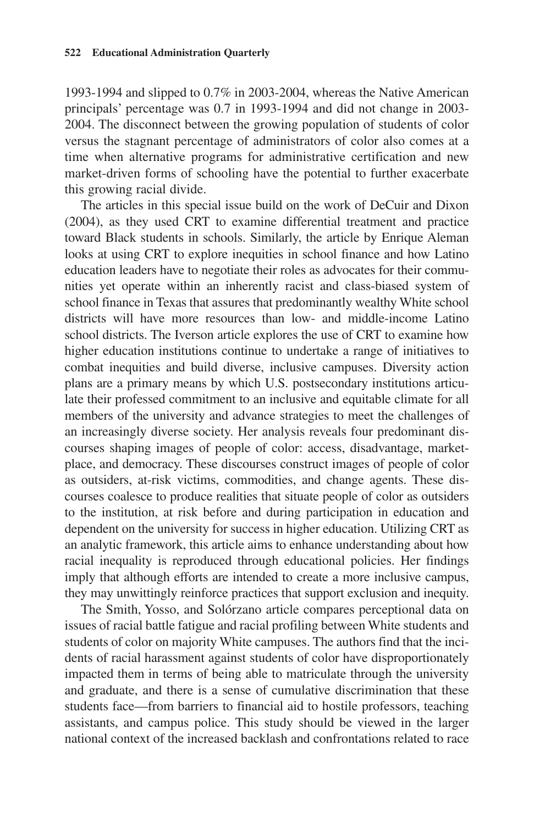1993-1994 and slipped to 0.7% in 2003-2004, whereas the Native American principals' percentage was 0.7 in 1993-1994 and did not change in 2003- 2004. The disconnect between the growing population of students of color versus the stagnant percentage of administrators of color also comes at a time when alternative programs for administrative certification and new market-driven forms of schooling have the potential to further exacerbate this growing racial divide.

The articles in this special issue build on the work of DeCuir and Dixon (2004), as they used CRT to examine differential treatment and practice toward Black students in schools. Similarly, the article by Enrique Aleman looks at using CRT to explore inequities in school finance and how Latino education leaders have to negotiate their roles as advocates for their communities yet operate within an inherently racist and class-biased system of school finance in Texas that assures that predominantly wealthy White school districts will have more resources than low- and middle-income Latino school districts. The Iverson article explores the use of CRT to examine how higher education institutions continue to undertake a range of initiatives to combat inequities and build diverse, inclusive campuses. Diversity action plans are a primary means by which U.S. postsecondary institutions articulate their professed commitment to an inclusive and equitable climate for all members of the university and advance strategies to meet the challenges of an increasingly diverse society. Her analysis reveals four predominant discourses shaping images of people of color: access, disadvantage, marketplace, and democracy. These discourses construct images of people of color as outsiders, at-risk victims, commodities, and change agents. These discourses coalesce to produce realities that situate people of color as outsiders to the institution, at risk before and during participation in education and dependent on the university for success in higher education. Utilizing CRT as an analytic framework, this article aims to enhance understanding about how racial inequality is reproduced through educational policies. Her findings imply that although efforts are intended to create a more inclusive campus, they may unwittingly reinforce practices that support exclusion and inequity.

The Smith, Yosso, and Solórzano article compares perceptional data on issues of racial battle fatigue and racial profiling between White students and students of color on majority White campuses. The authors find that the incidents of racial harassment against students of color have disproportionately impacted them in terms of being able to matriculate through the university and graduate, and there is a sense of cumulative discrimination that these students face—from barriers to financial aid to hostile professors, teaching assistants, and campus police. This study should be viewed in the larger national context of the increased backlash and confrontations related to race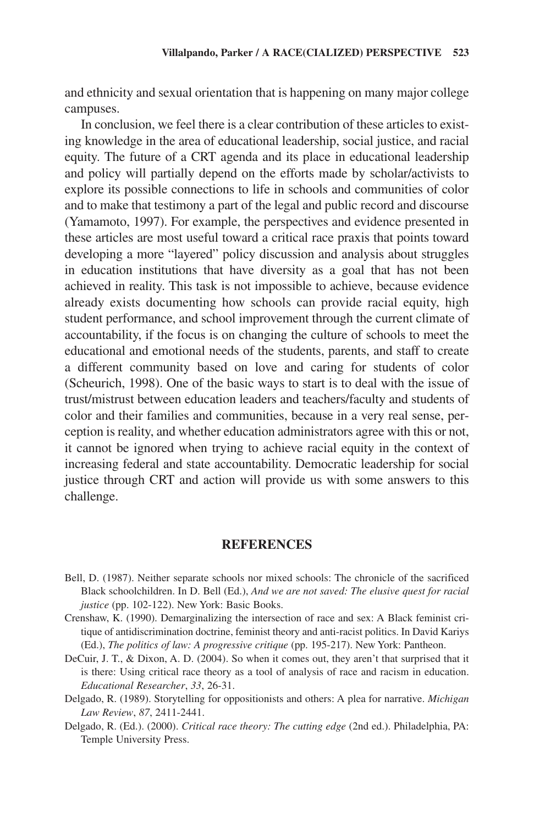and ethnicity and sexual orientation that is happening on many major college campuses.

In conclusion, we feel there is a clear contribution of these articles to existing knowledge in the area of educational leadership, social justice, and racial equity. The future of a CRT agenda and its place in educational leadership and policy will partially depend on the efforts made by scholar/activists to explore its possible connections to life in schools and communities of color and to make that testimony a part of the legal and public record and discourse (Yamamoto, 1997). For example, the perspectives and evidence presented in these articles are most useful toward a critical race praxis that points toward developing a more "layered" policy discussion and analysis about struggles in education institutions that have diversity as a goal that has not been achieved in reality. This task is not impossible to achieve, because evidence already exists documenting how schools can provide racial equity, high student performance, and school improvement through the current climate of accountability, if the focus is on changing the culture of schools to meet the educational and emotional needs of the students, parents, and staff to create a different community based on love and caring for students of color (Scheurich, 1998). One of the basic ways to start is to deal with the issue of trust/mistrust between education leaders and teachers/faculty and students of color and their families and communities, because in a very real sense, perception is reality, and whether education administrators agree with this or not, it cannot be ignored when trying to achieve racial equity in the context of increasing federal and state accountability. Democratic leadership for social justice through CRT and action will provide us with some answers to this challenge.

## **REFERENCES**

- Bell, D. (1987). Neither separate schools nor mixed schools: The chronicle of the sacrificed Black schoolchildren. In D. Bell (Ed.), *And we are not saved: The elusive quest for racial justice* (pp. 102-122). New York: Basic Books.
- Crenshaw, K. (1990). Demarginalizing the intersection of race and sex: A Black feminist critique of antidiscrimination doctrine, feminist theory and anti-racist politics. In David Kariys (Ed.), *The politics of law: A progressive critique* (pp. 195-217). New York: Pantheon.
- DeCuir, J. T., & Dixon, A. D. (2004). So when it comes out, they aren't that surprised that it is there: Using critical race theory as a tool of analysis of race and racism in education. *Educational Researcher*, *33*, 26-31.
- Delgado, R. (1989). Storytelling for oppositionists and others: A plea for narrative. *Michigan Law Review*, *87*, 2411-2441.
- Delgado, R. (Ed.). (2000). *Critical race theory: The cutting edge* (2nd ed.). Philadelphia, PA: Temple University Press.